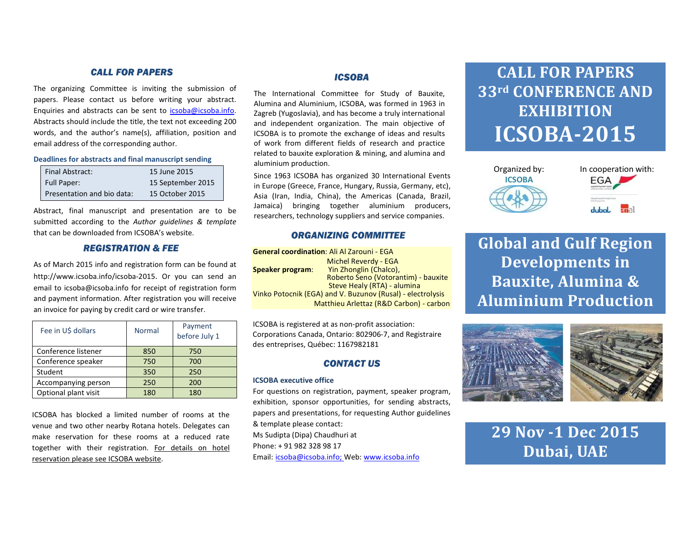## CALL FOR PAPERS

The organizing Committee is inviting the submission of papers. Please contact us before writing your abstract. Enquiries and abstracts can be sent to icsoba@icsoba.info. Abstracts should include the title, the text not exceeding 200 words, and the author's name(s), affiliation, position and email address of the corresponding author.

Deadlines for abstracts and final manuscript sending

| Final Abstract:            | 15 June 2015      |
|----------------------------|-------------------|
| <b>Full Paper:</b>         | 15 September 2015 |
| Presentation and bio data: | 15 October 2015   |

Abstract, final manuscript and presentation are to be submitted according to the Author quidelines & template that can be downloaded from ICSOBA's website.

## REGISTRATION & FEE

As of March 2015 info and registration form can be found at http://www.icsoba.info/icsoba-2015. Or you can send an email to icsoba@icsoba.info for receipt of registration form and payment information. After registration you will receive an invoice for paying by credit card or wire transfer.

| Fee in U\$ dollars   | Normal | Payment<br>before July 1 |
|----------------------|--------|--------------------------|
| Conference listener  | 850    | 750                      |
| Conference speaker   | 750    | 700                      |
| Student              | 350    | 250                      |
| Accompanying person  | 250    | 200                      |
| Optional plant visit | 180    | 180                      |

ICSOBA has blocked a limited number of rooms at the venue and two other nearby Rotana hotels. Delegates can make reservation for these rooms at a reduced rate together with their registration. For details on hotel reservation please see ICSOBA website.

## ICSOBA

The International Committee for Study of Bauxite, Alumina and Aluminium, ICSOBA, was formed in 1963 in Zagreb (Yugoslavia), and has become a truly international and independent organization. The main objective of ICSOBA is to promote the exchange of ideas and results of work from different fields of research and practice related to bauxite exploration & mining, and alumina and aluminium production.

Since 1963 ICSOBA has organized 30 International Events in Europe (Greece, France, Hungary, Russia, Germany, etc), Asia (Iran, India, China), the Americas (Canada, Brazil, Jamaica) bringing together aluminium producers, researchers, technology suppliers and service companies.

## ORGANIZING COMMITTEE

| <b>General coordination: Ali Al Zarouni - EGA</b>          |                                         |  |
|------------------------------------------------------------|-----------------------------------------|--|
|                                                            | <b>Michel Reverdy - EGA</b>             |  |
| <b>Speaker program:</b>                                    | Yin Zhonglin (Chalco),                  |  |
|                                                            | Roberto Seno (Votorantim) - bauxite     |  |
|                                                            | Steve Healy (RTA) - alumina             |  |
| Vinko Potocnik (EGA) and V. Buzunov (Rusal) - electrolysis |                                         |  |
|                                                            | Matthieu Arlettaz (R&D Carbon) - carbon |  |

ICSOBA is registered at as non-profit association: Corporations Canada, Ontario: 802906-7, and Registraire des entreprises, Québec: 1167982181

## CONTACT US

#### ICSOBA executive office

For questions on registration, payment, speaker program, exhibition, sponsor opportunities, for sending abstracts, papers and presentations, for requesting Author guidelines & template please contact: Ms Sudipta (Dipa) Chaudhuri at Phone: + 91 982 328 98 17 Email: <u>icsoba@icsoba.info;</u> Web: <u>www.icsoba.info</u>

# **CALL FOR PAPERS** 33rd CONFERENCE AND EXHIBITION ICSOBA-2015





Global and Gulf Region Developments in Bauxite, Alumina & Aluminium Production



29 Nov -1 Dec 2015 Dubai, UAE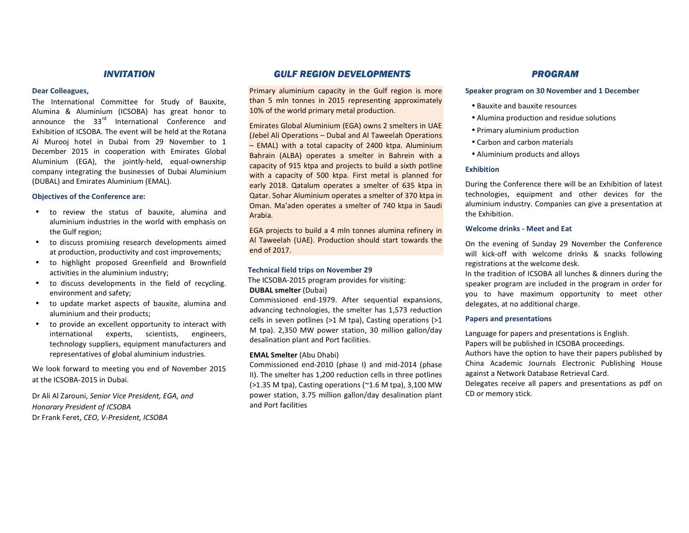#### INVITATION

#### Dear Colleagues,

The International Committee for Study of Bauxite, Alumina & Aluminium (ICSOBA) has great honor to announce the 33 $^{\text{rd}}$  International Conference and Exhibition of ICSOBA. The event will be held at the Rotana Al Murooj hotel in Dubai from 29 November to 1 December 2015 in cooperation with Emirates Global Aluminium (EGA), the jointly-held, equal-ownership company integrating the businesses of Dubai Aluminium(DUBAL) and Emirates Aluminium (EMAL).

#### Objectives of the Conference are:

- • to review the status of bauxite, alumina and aluminium industries in the world with emphasis on the Gulf region;
- • to discuss promising research developments aimed at production, productivity and cost improvements;
- • to highlight proposed Greenfield and Brownfield activities in the aluminium industry;
- • to discuss developments in the field of recycling. environment and safety;
- • to update market aspects of bauxite, alumina and aluminium and their products;
- • to provide an excellent opportunity to interact with international experts, scientists, engineers, technology suppliers, equipment manufacturers and representatives of global aluminium industries.

We look forward to meeting you end of November 2015 at the ICSOBA-2015 in Dubai.

Dr Ali Al Zarouni, Senior Vice President, EGA, and Honorary President of ICSOBA Dr Frank Feret, CEO, V-President, ICSOBA

#### GULF REGION DEVELOPMENTS

Primary aluminium capacity in the Gulf region is more than 5 mln tonnes in 2015 representing approximately 10% of the world primary metal production.

Emirates Global Aluminium (EGA) owns 2 smelters in UAE (Jebel Ali Operations – Dubal and Al Taweelah Operations – EMAL) with a total capacity of 2400 ktpa. Aluminium Bahrain (ALBA) operates a smelter in Bahrein with a capacity of 915 ktpa and projects to build a sixth potline with a capacity of 500 ktpa. First metal is planned for early 2018. Qatalum operates a smelter of 635 ktpa in Qatar. Sohar Aluminium operates a smelter of 370 ktpa in Oman. Ma'aden operates a smelter of 740 ktpa in Saudi Arabia.

EGA projects to build a 4 mln tonnes alumina refinery in Al Taweelah (UAE). Production should start towards the end of 2017.

#### Technical field trips on November 29

The ICSOBA-2015 program provides for visiting: DUBAL smelter (Dubai)

Commissioned end-1979. After sequential expansions, advancing technologies, the smelter has 1,573 reduction cells in seven potlines (>1 M tpa), Casting operations (>1 M tpa). 2,350 MW power station, 30 million gallon/day desalination plant and Port facilities.

#### EMAL Smelter (Abu Dhabi)

Commissioned end-2010 (phase I) and mid-2014 (phase II). The smelter has 1,200 reduction cells in three potlines (>1.35 M tpa), Casting operations (~1.6 M tpa), 3,100 MW power station, 3.75 million gallon/day desalination plant and Port facilities

### PROGRAM

#### Speaker program on 30 November and 1 December

- Bauxite and bauxite resources
- Alumina production and residue solutions
- Primary aluminium production
- Carbon and carbon materials
- Aluminium products and alloys

#### **Exhibition**

During the Conference there will be an Exhibition of latest technologies, equipment and other devices for the aluminium industry. Companies can give a presentation at the Exhibition.

#### Welcome drinks - Meet and Eat

On the evening of Sunday 29 November the Conference will kick-off with welcome drinks & snacks following registrations at the welcome desk.

In the tradition of ICSOBA all lunches & dinners during the speaker program are included in the program in order for you to have maximum opportunity to meet other delegates, at no additional charge.

#### Papers and presentations

Language for papers and presentations is English.

Papers will be published in ICSOBA proceedings.

Authors have the option to have their papers published by China Academic Journals Electronic Publishing House against a Network Database Retrieval Card.

Delegates receive all papers and presentations as pdf on CD or memory stick.